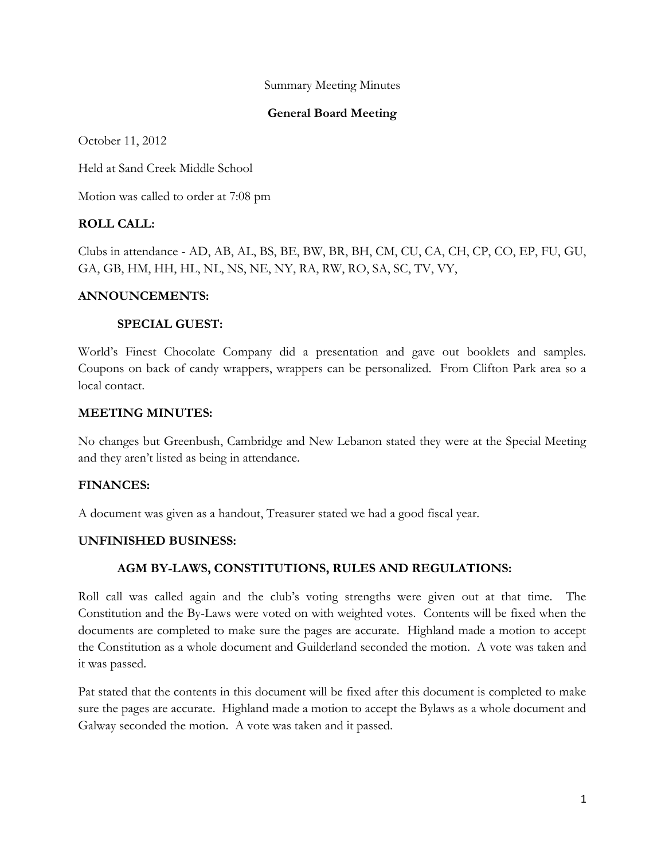#### Summary Meeting Minutes

### **General Board Meeting**

October 11, 2012

Held at Sand Creek Middle School

Motion was called to order at 7:08 pm

## **ROLL CALL:**

Clubs in attendance - AD, AB, AL, BS, BE, BW, BR, BH, CM, CU, CA, CH, CP, CO, EP, FU, GU, GA, GB, HM, HH, HL, NL, NS, NE, NY, RA, RW, RO, SA, SC, TV, VY,

#### **ANNOUNCEMENTS:**

#### **SPECIAL GUEST:**

World's Finest Chocolate Company did a presentation and gave out booklets and samples. Coupons on back of candy wrappers, wrappers can be personalized. From Clifton Park area so a local contact.

#### **MEETING MINUTES:**

No changes but Greenbush, Cambridge and New Lebanon stated they were at the Special Meeting and they aren't listed as being in attendance.

### **FINANCES:**

A document was given as a handout, Treasurer stated we had a good fiscal year.

### **UNFINISHED BUSINESS:**

### **AGM BY-LAWS, CONSTITUTIONS, RULES AND REGULATIONS:**

Roll call was called again and the club's voting strengths were given out at that time. The Constitution and the By-Laws were voted on with weighted votes. Contents will be fixed when the documents are completed to make sure the pages are accurate. Highland made a motion to accept the Constitution as a whole document and Guilderland seconded the motion. A vote was taken and it was passed.

Pat stated that the contents in this document will be fixed after this document is completed to make sure the pages are accurate. Highland made a motion to accept the Bylaws as a whole document and Galway seconded the motion. A vote was taken and it passed.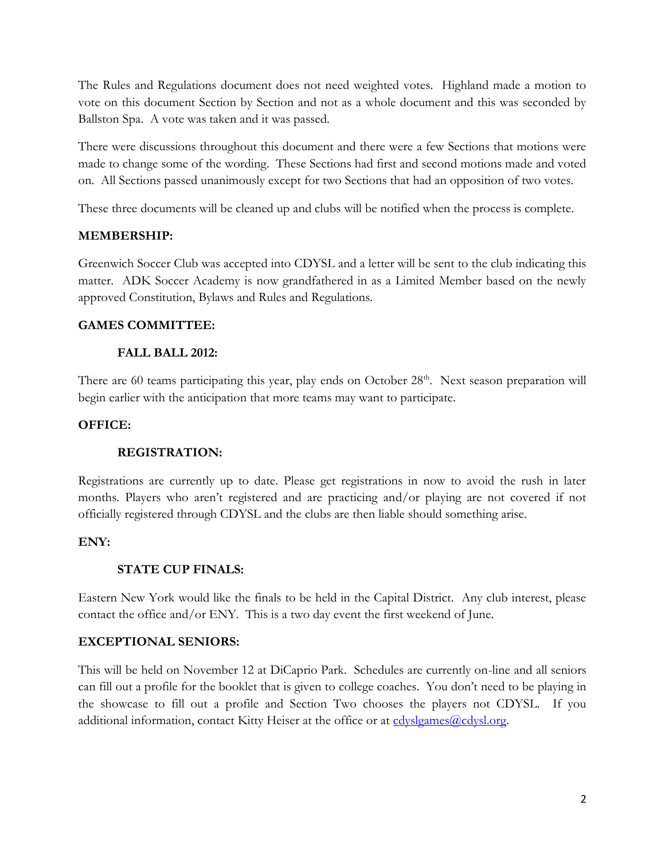The Rules and Regulations document does not need weighted votes. Highland made a motion to vote on this document Section by Section and not as a whole document and this was seconded by Ballston Spa. A vote was taken and it was passed.

There were discussions throughout this document and there were a few Sections that motions were made to change some of the wording. These Sections had first and second motions made and voted on. All Sections passed unanimously except for two Sections that had an opposition of two votes.

These three documents will be cleaned up and clubs will be notified when the process is complete.

# **MEMBERSHIP:**

Greenwich Soccer Club was accepted into CDYSL and a letter will be sent to the club indicating this matter. ADK Soccer Academy is now grandfathered in as a Limited Member based on the newly approved Constitution, Bylaws and Rules and Regulations.

## **GAMES COMMITTEE:**

## **FALL BALL 2012:**

There are 60 teams participating this year, play ends on October 28<sup>th</sup>. Next season preparation will begin earlier with the anticipation that more teams may want to participate.

## **OFFICE:**

### **REGISTRATION:**

Registrations are currently up to date. Please get registrations in now to avoid the rush in later months. Players who aren't registered and are practicing and/or playing are not covered if not officially registered through CDYSL and the clubs are then liable should something arise.

### **ENY:**

# **STATE CUP FINALS:**

Eastern New York would like the finals to be held in the Capital District. Any club interest, please contact the office and/or ENY. This is a two day event the first weekend of June.

### **EXCEPTIONAL SENIORS:**

This will be held on November 12 at DiCaprio Park. Schedules are currently on-line and all seniors can fill out a profile for the booklet that is given to college coaches. You don't need to be playing in the showcase to fill out a profile and Section Two chooses the players not CDYSL. If you additional information, contact Kitty Heiser at the office or at [cdyslgames@cdysl.org.](mailto:cdyslgames@cdysl.org)